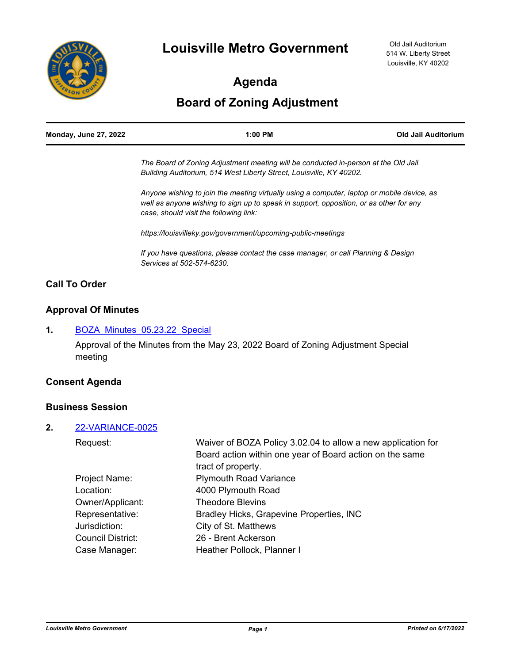

# **Agenda**

# **Board of Zoning Adjustment**

| <b>Monday, June 27, 2022</b> | 1:00 PM                                                                                                                                                                              | Old Jail Auditorium |  |
|------------------------------|--------------------------------------------------------------------------------------------------------------------------------------------------------------------------------------|---------------------|--|
|                              | The Board of Zoning Adjustment meeting will be conducted in-person at the Old Jail                                                                                                   |                     |  |
|                              | Building Auditorium, 514 West Liberty Street, Louisville, KY 40202.                                                                                                                  |                     |  |
|                              | Anyone wishing to join the meeting virtually using a computer, laptop or mobile device, as<br>well as anyone wishing to sign up to speak in support, opposition, or as other for any |                     |  |
|                              | case, should visit the following link:                                                                                                                                               |                     |  |

*https://louisvilleky.gov/government/upcoming-public-meetings*

*If you have questions, please contact the case manager, or call Planning & Design Services at 502-574-6230.*

## **Call To Order**

## **Approval Of Minutes**

#### 1. **BOZA Minutes 05.23.22 Special**

Approval of the Minutes from the May 23, 2022 Board of Zoning Adjustment Special meeting

## **Consent Agenda**

#### **Business Session**

#### **2.** [22-VARIANCE-0025](http://louisville.legistar.com/gateway.aspx?m=l&id=/matter.aspx?key=60260)

| Waiver of BOZA Policy 3.02.04 to allow a new application for |
|--------------------------------------------------------------|
| Board action within one year of Board action on the same     |
| tract of property.                                           |
| <b>Plymouth Road Variance</b>                                |
| 4000 Plymouth Road                                           |
| <b>Theodore Blevins</b>                                      |
| Bradley Hicks, Grapevine Properties, INC                     |
| City of St. Matthews                                         |
| 26 - Brent Ackerson                                          |
| Heather Pollock, Planner I                                   |
|                                                              |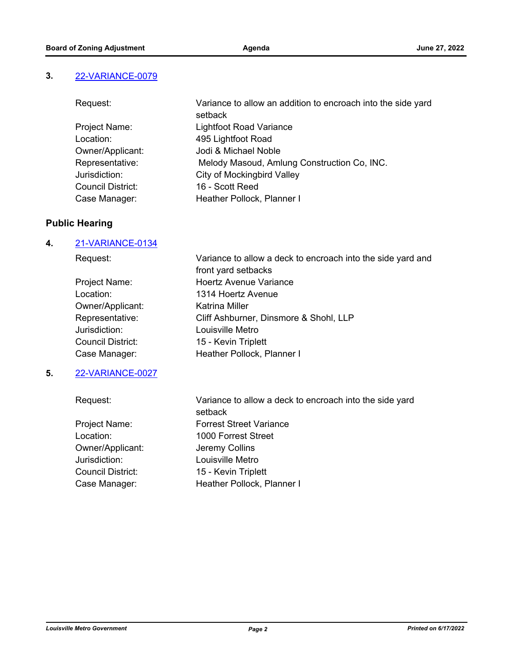#### **3.** [22-VARIANCE-0079](http://louisville.legistar.com/gateway.aspx?m=l&id=/matter.aspx?key=60820)

| Request:                 | Variance to allow an addition to encroach into the side yard |
|--------------------------|--------------------------------------------------------------|
|                          | setback                                                      |
| Project Name:            | <b>Lightfoot Road Variance</b>                               |
| Location:                | 495 Lightfoot Road                                           |
| Owner/Applicant:         | Jodi & Michael Noble                                         |
| Representative:          | Melody Masoud, Amlung Construction Co, INC.                  |
| Jurisdiction:            | City of Mockingbird Valley                                   |
| <b>Council District:</b> | 16 - Scott Reed                                              |
| Case Manager:            | Heather Pollock, Planner I                                   |

## **Public Hearing**

#### **4.** [21-VARIANCE-0134](http://louisville.legistar.com/gateway.aspx?m=l&id=/matter.aspx?key=58861)

| Request:                 | Variance to allow a deck to encroach into the side yard and |
|--------------------------|-------------------------------------------------------------|
|                          | front yard setbacks                                         |
| Project Name:            | <b>Hoertz Avenue Variance</b>                               |
| Location:                | 1314 Hoertz Avenue                                          |
| Owner/Applicant:         | Katrina Miller                                              |
| Representative:          | Cliff Ashburner, Dinsmore & Shohl, LLP                      |
| Jurisdiction:            | Louisville Metro                                            |
| <b>Council District:</b> | 15 - Kevin Triplett                                         |
| Case Manager:            | Heather Pollock, Planner I                                  |
|                          |                                                             |

## **5.** [22-VARIANCE-0027](http://louisville.legistar.com/gateway.aspx?m=l&id=/matter.aspx?key=60813)

Request: Variance to allow a deck to encroach into the side yard setback Project Name: Forrest Street Variance Location: 1000 Forrest Street Owner/Applicant: Jeremy Collins Jurisdiction: Louisville Metro Council District: 15 - Kevin Triplett Case Manager: Heather Pollock, Planner I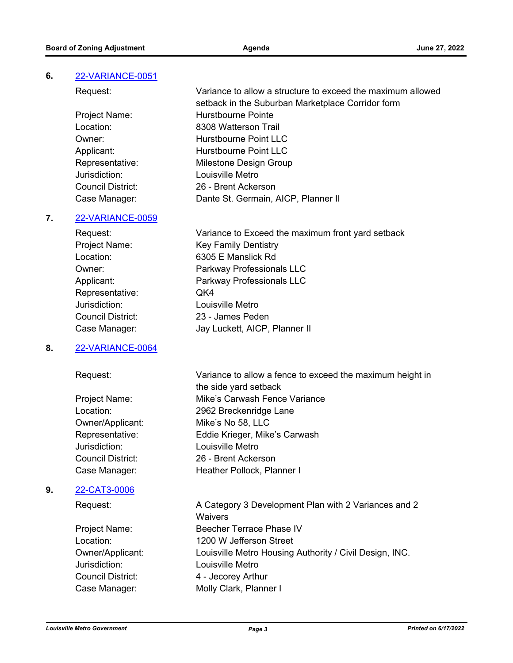## **6.** [22-VARIANCE-0051](http://louisville.legistar.com/gateway.aspx?m=l&id=/matter.aspx?key=60812)

| Request:          | Variance to allow a structure to exceed the maximum allowed |
|-------------------|-------------------------------------------------------------|
|                   | setback in the Suburban Marketplace Corridor form           |
| Project Name:     | Hurstbourne Pointe                                          |
| Location:         | 8308 Watterson Trail                                        |
| Owner:            | Hurstbourne Point LLC                                       |
| Applicant:        | Hurstbourne Point LLC                                       |
| Representative:   | Milestone Design Group                                      |
| Jurisdiction:     | Louisville Metro                                            |
| Council District: | 26 - Brent Ackerson                                         |
| Case Manager:     | Dante St. Germain, AICP, Planner II                         |

#### **7.** [22-VARIANCE-0059](http://louisville.legistar.com/gateway.aspx?m=l&id=/matter.aspx?key=60815)

| Request:          | Variance to Exceed the maximum front yard setback |
|-------------------|---------------------------------------------------|
| Project Name:     | <b>Key Family Dentistry</b>                       |
| Location:         | 6305 E Manslick Rd                                |
| Owner:            | Parkway Professionals LLC                         |
| Applicant:        | Parkway Professionals LLC                         |
| Representative:   | QK4                                               |
| Jurisdiction:     | Louisville Metro                                  |
| Council District: | 23 - James Peden                                  |
| Case Manager:     | Jay Luckett, AICP, Planner II                     |
|                   |                                                   |

the side yard setback

#### **8.** [22-VARIANCE-0064](http://louisville.legistar.com/gateway.aspx?m=l&id=/matter.aspx?key=60811)

#### Request: Variance to allow a fence to exceed the maximum height in

Project Name: Mike's Carwash Fence Variance Location: 2962 Breckenridge Lane Owner/Applicant: Mike's No 58, LLC Representative: Eddie Krieger, Mike's Carwash Jurisdiction: Louisville Metro Council District: 26 - Brent Ackerson Case Manager: Heather Pollock, Planner I

## **9.** [22-CAT3-0006](http://louisville.legistar.com/gateway.aspx?m=l&id=/matter.aspx?key=60810)

Request: A Category 3 Development Plan with 2 Variances and 2 **Waivers** Project Name: Beecher Terrace Phase IV Location: 1200 W Jefferson Street Owner/Applicant: Louisville Metro Housing Authority / Civil Design, INC. Jurisdiction: Louisville Metro Council District: 4 - Jecorey Arthur Case Manager: Molly Clark, Planner I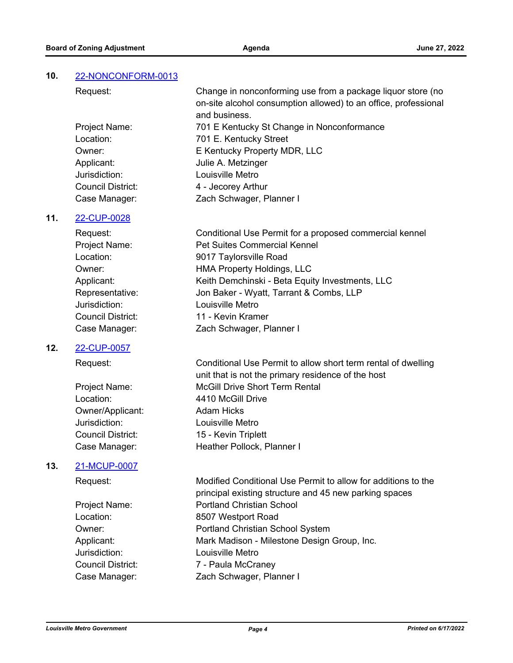## **10.** [22-NONCONFORM-0013](http://louisville.legistar.com/gateway.aspx?m=l&id=/matter.aspx?key=60816)

Request: Change in nonconforming use from a package liquor store (no on-site alcohol consumption allowed) to an office, professional and business. Project Name: 701 E Kentucky St Change in Nonconformance Location: 701 E. Kentucky Street Owner: E Kentucky Property MDR, LLC Applicant: Julie A. Metzinger Jurisdiction: Louisville Metro Council District: 4 - Jecorey Arthur Case Manager: Zach Schwager, Planner I

#### **11.** [22-CUP-0028](http://louisville.legistar.com/gateway.aspx?m=l&id=/matter.aspx?key=60814)

Request: Conditional Use Permit for a proposed commercial kennel Project Name: Pet Suites Commercial Kennel Location: 9017 Taylorsville Road Owner: **HMA Property Holdings, LLC** Applicant: Keith Demchinski - Beta Equity Investments, LLC Representative: Jon Baker - Wyatt, Tarrant & Combs, LLP Jurisdiction: Louisville Metro Council District: 11 - Kevin Kramer Case Manager: Zach Schwager, Planner I

#### **12.** [22-CUP-0057](http://louisville.legistar.com/gateway.aspx?m=l&id=/matter.aspx?key=60817)

Owner/Applicant: Adam Hicks Jurisdiction: Louisville Metro

#### **13.** [21-MCUP-0007](http://louisville.legistar.com/gateway.aspx?m=l&id=/matter.aspx?key=60819)

Jurisdiction: Louisville Metro

Request: Conditional Use Permit to allow short term rental of dwelling unit that is not the primary residence of the host Project Name: McGill Drive Short Term Rental Location: 4410 McGill Drive Council District: 15 - Kevin Triplett Case Manager: Heather Pollock, Planner I

Request: Modified Conditional Use Permit to allow for additions to the principal existing structure and 45 new parking spaces Project Name: Portland Christian School Location: 8507 Westport Road Owner: Portland Christian School System Applicant: Mark Madison - Milestone Design Group, Inc. Council District: 7 - Paula McCraney Case Manager: Zach Schwager, Planner I